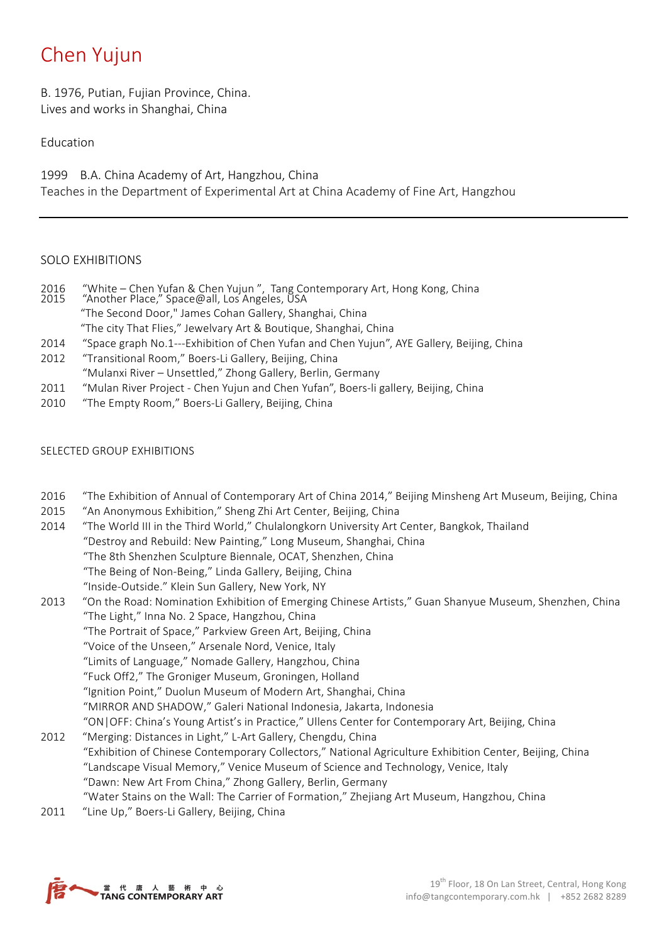# Chen Yujun

B. 1976, Putian, Fujian Province, China. Lives and works in Shanghai, China

# Education

1999 B.A. China Academy of Art, Hangzhou, China Teaches in the Department of Experimental Art at China Academy of Fine Art, Hangzhou

## SOLO EXHIBITIONS

- 2016 "White Chen Yufan & Chen Yujun", Tang Contemporary Art, Hong Kong, China<br>2015 "Another Place," Space@all, Los Angeles, USA "Another Place," Space@all, Los Angeles, USA "The Second Door," James Cohan Gallery, Shanghai, China "The city That Flies," Jewelvary Art & Boutique, Shanghai, China
- 2014 "Space graph No.1---Exhibition of Chen Yufan and Chen Yujun", AYE Gallery, Beijing, China
- 2012 "Transitional Room," Boers-Li Gallery, Beijing, China "Mulanxi River – Unsettled," Zhong Gallery, Berlin, Germany
- 2011 "Mulan River Project Chen Yujun and Chen Yufan", Boers-li gallery, Beijing, China
- 2010 "The Empty Room," Boers-Li Gallery, Beijing, China

## SELECTED GROUP EXHIBITIONS

- 2016 "The Exhibition of Annual of Contemporary Art of China 2014," Beijing Minsheng Art Museum, Beijing, China
- 2015 "An Anonymous Exhibition," Sheng Zhi Art Center, Beijing, China
- 2014 "The World III in the Third World," Chulalongkorn University Art Center, Bangkok, Thailand "Destroy and Rebuild: New Painting," Long Museum, Shanghai, China "The 8th Shenzhen Sculpture Biennale, OCAT, Shenzhen, China "The Being of Non-Being," Linda Gallery, Beijing, China "Inside-Outside." Klein Sun Gallery, New York, NY
- 2013 "On the Road: Nomination Exhibition of Emerging Chinese Artists," Guan Shanyue Museum, Shenzhen, China "The Light," Inna No. 2 Space, Hangzhou, China "The Portrait of Space," Parkview Green Art, Beijing, China "Voice of the Unseen," Arsenale Nord, Venice, Italy "Limits of Language," Nomade Gallery, Hangzhou, China "Fuck Off2," The Groniger Museum, Groningen, Holland "Ignition Point," Duolun Museum of Modern Art, Shanghai, China "MIRROR AND SHADOW," Galeri National Indonesia, Jakarta, Indonesia "ON|OFF: China's Young Artist's in Practice," Ullens Center for Contemporary Art, Beijing, China 2012 "Merging: Distances in Light," L-Art Gallery, Chengdu, China
- "Exhibition of Chinese Contemporary Collectors," National Agriculture Exhibition Center, Beijing, China "Landscape Visual Memory," Venice Museum of Science and Technology, Venice, Italy "Dawn: New Art From China," Zhong Gallery, Berlin, Germany "Water Stains on the Wall: The Carrier of Formation," Zhejiang Art Museum, Hangzhou, China
- 2011 "Line Up," Boers-Li Gallery, Beijing, China

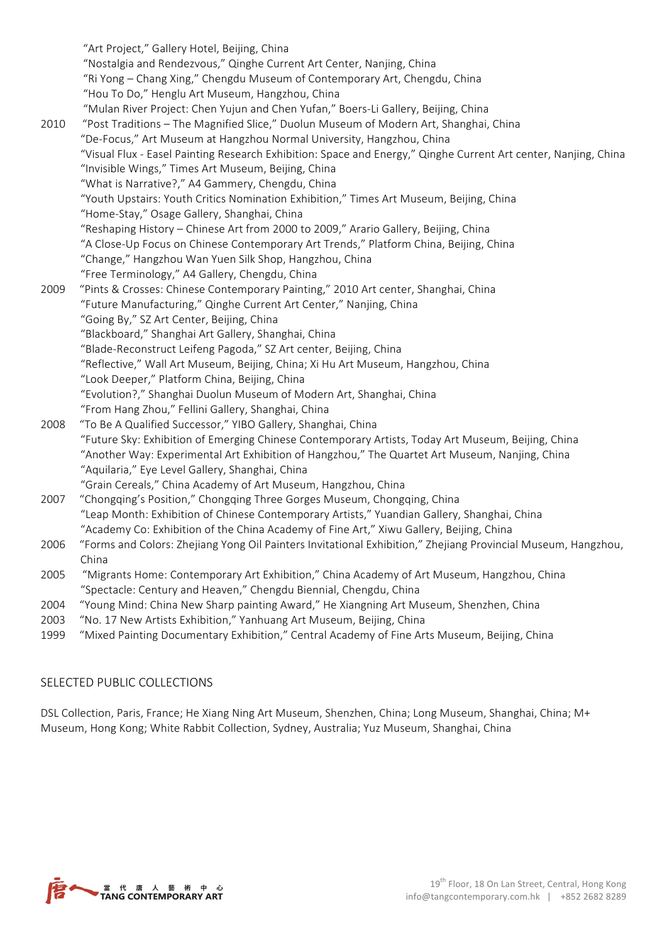| 2010         | "Art Project," Gallery Hotel, Beijing, China<br>"Nostalgia and Rendezvous," Qinghe Current Art Center, Nanjing, China<br>"Ri Yong - Chang Xing," Chengdu Museum of Contemporary Art, Chengdu, China<br>"Hou To Do," Henglu Art Museum, Hangzhou, China<br>"Mulan River Project: Chen Yujun and Chen Yufan," Boers-Li Gallery, Beijing, China<br>"Post Traditions - The Magnified Slice," Duolun Museum of Modern Art, Shanghai, China<br>"De-Focus," Art Museum at Hangzhou Normal University, Hangzhou, China<br>"Visual Flux - Easel Painting Research Exhibition: Space and Energy," Qinghe Current Art center, Nanjing, China<br>"Invisible Wings," Times Art Museum, Beijing, China<br>"What is Narrative?," A4 Gammery, Chengdu, China<br>"Youth Upstairs: Youth Critics Nomination Exhibition," Times Art Museum, Beijing, China |
|--------------|-----------------------------------------------------------------------------------------------------------------------------------------------------------------------------------------------------------------------------------------------------------------------------------------------------------------------------------------------------------------------------------------------------------------------------------------------------------------------------------------------------------------------------------------------------------------------------------------------------------------------------------------------------------------------------------------------------------------------------------------------------------------------------------------------------------------------------------------|
| 2009         | "Home-Stay," Osage Gallery, Shanghai, China<br>"Reshaping History - Chinese Art from 2000 to 2009," Arario Gallery, Beijing, China<br>"A Close-Up Focus on Chinese Contemporary Art Trends," Platform China, Beijing, China<br>"Change," Hangzhou Wan Yuen Silk Shop, Hangzhou, China<br>"Free Terminology," A4 Gallery, Chengdu, China<br>"Pints & Crosses: Chinese Contemporary Painting," 2010 Art center, Shanghai, China<br>"Future Manufacturing," Qinghe Current Art Center," Nanjing, China<br>"Going By," SZ Art Center, Beijing, China<br>"Blackboard," Shanghai Art Gallery, Shanghai, China<br>"Blade-Reconstruct Leifeng Pagoda," SZ Art center, Beijing, China<br>"Reflective," Wall Art Museum, Beijing, China; Xi Hu Art Museum, Hangzhou, China                                                                        |
| 2008<br>2007 | "Look Deeper," Platform China, Beijing, China<br>"Evolution?," Shanghai Duolun Museum of Modern Art, Shanghai, China<br>"From Hang Zhou," Fellini Gallery, Shanghai, China<br>"To Be A Qualified Successor," YIBO Gallery, Shanghai, China<br>Future Sky: Exhibition of Emerging Chinese Contemporary Artists, Today Art Museum, Beijing, China"<br>"Another Way: Experimental Art Exhibition of Hangzhou," The Quartet Art Museum, Nanjing, China<br>"Aquilaria," Eye Level Gallery, Shanghai, China<br>"Grain Cereals," China Academy of Art Museum, Hangzhou, China<br>"Chongqing's Position," Chongqing Three Gorges Museum, Chongqing, China                                                                                                                                                                                       |
| 2006         | "Leap Month: Exhibition of Chinese Contemporary Artists," Yuandian Gallery, Shanghai, China<br>"Academy Co: Exhibition of the China Academy of Fine Art," Xiwu Gallery, Beijing, China<br>"Forms and Colors: Zhejiang Yong Oil Painters Invitational Exhibition," Zhejiang Provincial Museum, Hangzhou,                                                                                                                                                                                                                                                                                                                                                                                                                                                                                                                                 |
| 2005         | China<br>"Migrants Home: Contemporary Art Exhibition," China Academy of Art Museum, Hangzhou, China<br>"Spectacle: Century and Heaven," Chengdu Biennial, Chengdu, China                                                                                                                                                                                                                                                                                                                                                                                                                                                                                                                                                                                                                                                                |
| 2004         | "Young Mind: China New Sharp painting Award," He Xiangning Art Museum, Shenzhen, China                                                                                                                                                                                                                                                                                                                                                                                                                                                                                                                                                                                                                                                                                                                                                  |
| 2003         | "No. 17 New Artists Exhibition," Yanhuang Art Museum, Beijing, China                                                                                                                                                                                                                                                                                                                                                                                                                                                                                                                                                                                                                                                                                                                                                                    |
|              |                                                                                                                                                                                                                                                                                                                                                                                                                                                                                                                                                                                                                                                                                                                                                                                                                                         |

1999 "Mixed Painting Documentary Exhibition," Central Academy of Fine Arts Museum, Beijing, China

# SELECTED PUBLIC COLLECTIONS

DSL Collection, Paris, France; He Xiang Ning Art Museum, Shenzhen, China; Long Museum, Shanghai, China; M+ Museum, Hong Kong; White Rabbit Collection, Sydney, Australia; Yuz Museum, Shanghai, China

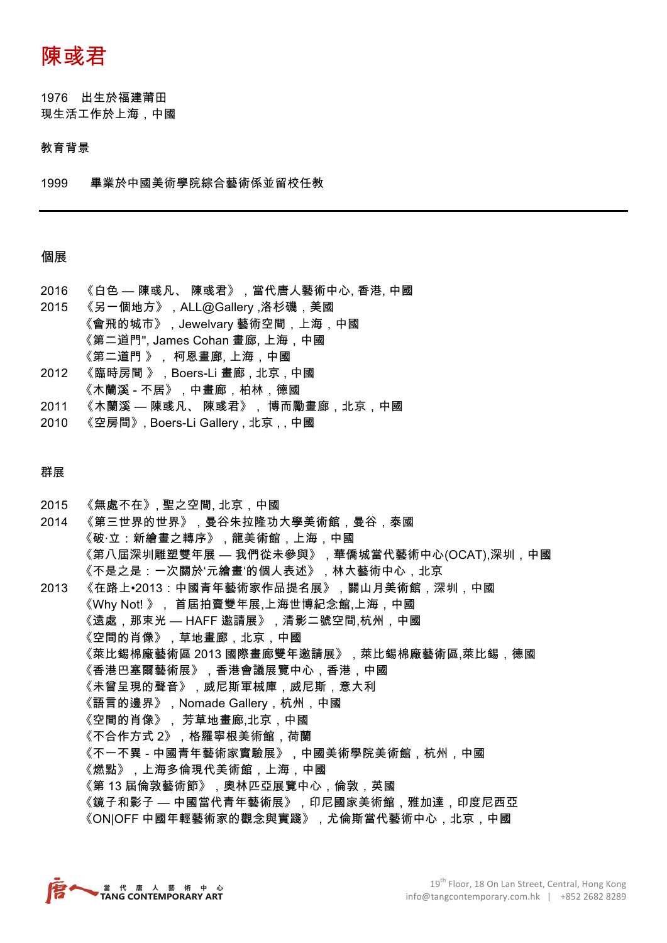陳彧君

1976 出生於福建莆田 現生活工作於上海,中國

#### 教育背景

1999 畢業於中國美術學院綜合藝術係並留校任教

## 個展

- 2016 《白色 陳彧凡、 陳彧君》,當代唐人藝術中心, 香港, 中國
- 2015 《另一個地方》,ALL@Gallery ,洛杉磯,美國 《會飛的城市》,Jewelvary 藝術空間,上海,中國 《第二道門", James Cohan 畫廊, 上海,中國 《第二道門 》, 柯恩畫廊, 上海,中國
- 2012 《臨時房間 》,Boers-Li 畫廊 , 北京 , 中國 《木蘭溪 - 不居》,中畫廊,柏林,德國
- 2011 《木蘭溪 陳彧凡、 陳彧君》, 博而勵畫廊,北京,中國
- 2010 《空房間》, Boers-Li Gallery, 北京,, 中國

### 群展

2015 《無處不在》, 聖之空間, 北京,中國 2014 《第三世界的世界》,曼谷朱拉隆功大學美術館,曼谷,泰國 《破·立:新繪畫之轉序》,龍美術館,上海,中國 《第八屆深圳雕塑雙年展 — 我們從未參與》,華僑城當代藝術中心(OCAT),深圳,中國 《不是之是:一次關於'元繪畫'的個人表述》,林大藝術中心,北京 2013 《在路上•2013:中國青年藝術家作品提名展》,關山月美術館,深圳,中國 《Why Not! 》, 首屆拍賣雙年展,上海世博紀念館,上海,中國 《遠處,那束光 — HAFF 邀請展》,清影二號空間,杭州,中國 《空間的肖像》,草地畫廊,北京,中國 《萊比錫棉廠藝術區 2013 國際畫廊雙年邀請展》,萊比錫棉廠藝術區,萊比錫,德國 《香港巴塞爾藝術展》,香港會議展覽中心,香港,中國 《未曾呈現的聲音》,威尼斯軍械庫,威尼斯,意大利 《語言的邊界》,Nomade Gallery,杭州,中國 《空間的肖像》, 芳草地畫廊,北京,中國 《不合作方式 2》,格羅寧根美術館,荷蘭 《不一不異 - 中國青年藝術家實驗展》,中國美術學院美術館,杭州,中國 《燃點》,上海多倫現代美術館,上海,中國 《第 13 屆倫敦藝術節》,奧林匹亞展覽中心,倫敦,英國 《鏡子和影子 — 中國當代青年藝術展》,印尼國家美術館,雅加達,印度尼西亞 《ON|OFF 中國年輕藝術家的觀念與實踐》,尤倫斯當代藝術中心,北京,中國